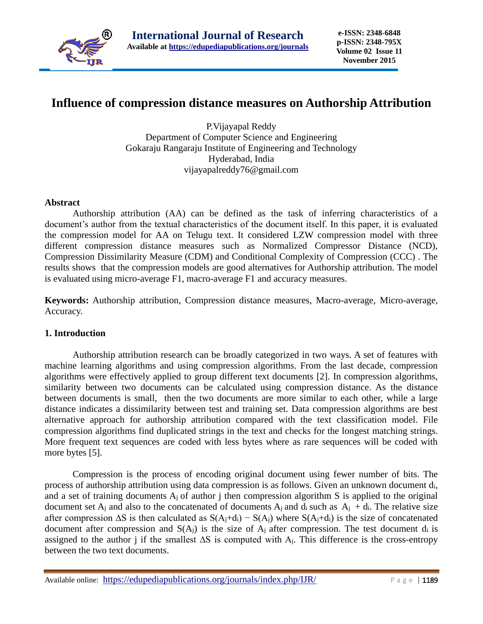

# **Influence of compression distance measures on Authorship Attribution**

P.Vijayapal Reddy Department of Computer Science and Engineering Gokaraju Rangaraju Institute of Engineering and Technology Hyderabad, India vijayapalreddy76@gmail.com

# **Abstract**

Authorship attribution (AA) can be defined as the task of inferring characteristics of a document's author from the textual characteristics of the document itself. In this paper, it is evaluated the compression model for AA on Telugu text. It considered LZW compression model with three different compression distance measures such as Normalized Compressor Distance (NCD), Compression Dissimilarity Measure (CDM) and Conditional Complexity of Compression (CCC) . The results shows that the compression models are good alternatives for Authorship attribution. The model is evaluated using micro-average F1, macro-average F1 and accuracy measures.

**Keywords:** Authorship attribution, Compression distance measures, Macro-average, Micro-average, Accuracy.

# **1. Introduction**

Authorship attribution research can be broadly categorized in two ways. A set of features with machine learning algorithms and using compression algorithms. From the last decade, compression algorithms were effectively applied to group different text documents [2]. In compression algorithms, similarity between two documents can be calculated using compression distance. As the distance between documents is small, then the two documents are more similar to each other, while a large distance indicates a dissimilarity between test and training set. Data compression algorithms are best alternative approach for authorship attribution compared with the text classification model. File compression algorithms find duplicated strings in the text and checks for the longest matching strings. More frequent text sequences are coded with less bytes where as rare sequences will be coded with more bytes [5].

Compression is the process of encoding original document using fewer number of bits. The process of authorship attribution using data compression is as follows. Given an unknown document di, and a set of training documents  $A_i$  of author j then compression algorithm S is applied to the original document set  $A_j$  and also to the concatenated of documents  $A_j$  and  $d_i$  such as  $A_j + d_i$ . The relative size after compression  $\Delta S$  is then calculated as  $S(A_i+d_i) - S(A_i)$  where  $S(A_i+d_i)$  is the size of concatenated document after compression and  $S(A_i)$  is the size of  $A_i$  after compression. The test document di is assigned to the author j if the smallest ∆S is computed with Aj. This difference is the cross-entropy between the two text documents.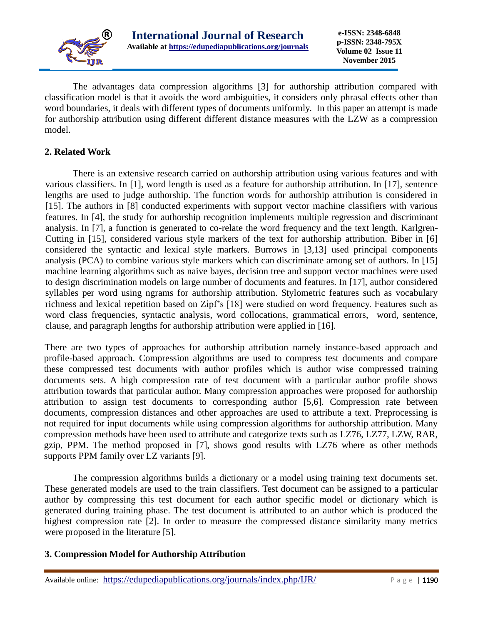

The advantages data compression algorithms [3] for authorship attribution compared with classification model is that it avoids the word ambiguities, it considers only phrasal effects other than word boundaries, it deals with different types of documents uniformly. In this paper an attempt is made for authorship attribution using different different distance measures with the LZW as a compression model.

# **2. Related Work**

There is an extensive research carried on authorship attribution using various features and with various classifiers. In [1], word length is used as a feature for authorship attribution. In [17], sentence lengths are used to judge authorship. The function words for authorship attribution is considered in [15]. The authors in [8] conducted experiments with support vector machine classifiers with various features. In [4], the study for authorship recognition implements multiple regression and discriminant analysis. In [7], a function is generated to co-relate the word frequency and the text length. Karlgren-Cutting in [15], considered various style markers of the text for authorship attribution. Biber in [6] considered the syntactic and lexical style markers. Burrows in [3,13] used principal components analysis (PCA) to combine various style markers which can discriminate among set of authors. In [15] machine learning algorithms such as naive bayes, decision tree and support vector machines were used to design discrimination models on large number of documents and features. In [17], author considered syllables per word using ngrams for authorship attribution. Stylometric features such as vocabulary richness and lexical repetition based on Zipf's [18] were studied on word frequency. Features such as word class frequencies, syntactic analysis, word collocations, grammatical errors, word, sentence, clause, and paragraph lengths for authorship attribution were applied in [16].

There are two types of approaches for authorship attribution namely instance-based approach and profile-based approach. Compression algorithms are used to compress test documents and compare these compressed test documents with author profiles which is author wise compressed training documents sets. A high compression rate of test document with a particular author profile shows attribution towards that particular author. Many compression approaches were proposed for authorship attribution to assign test documents to corresponding author [5,6]. Compression rate between documents, compression distances and other approaches are used to attribute a text. Preprocessing is not required for input documents while using compression algorithms for authorship attribution. Many compression methods have been used to attribute and categorize texts such as LZ76, LZ77, LZW, RAR, gzip, PPM. The method proposed in [7], shows good results with LZ76 where as other methods supports PPM family over LZ variants [9].

The compression algorithms builds a dictionary or a model using training text documents set. These generated models are used to the train classifiers. Test document can be assigned to a particular author by compressing this test document for each author specific model or dictionary which is generated during training phase. The test document is attributed to an author which is produced the highest compression rate [2]. In order to measure the compressed distance similarity many metrics were proposed in the literature [5].

# **3. Compression Model for Authorship Attribution**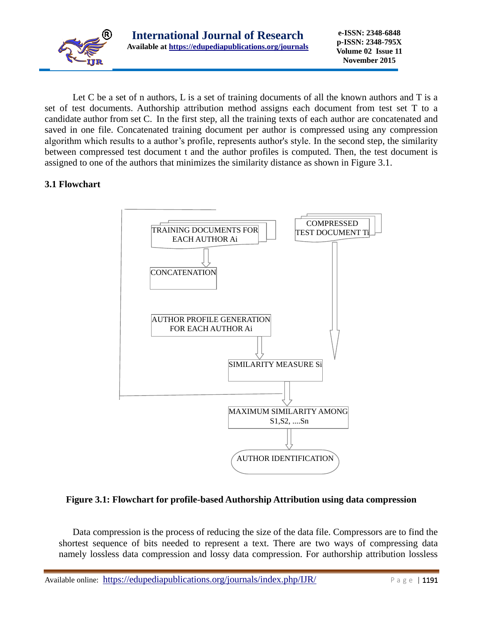

Let C be a set of n authors, L is a set of training documents of all the known authors and T is a set of test documents. Authorship attribution method assigns each document from test set T to a candidate author from set C. In the first step, all the training texts of each author are concatenated and saved in one file. Concatenated training document per author is compressed using any compression algorithm which results to a author's profile, represents author's style. In the second step, the similarity between compressed test document t and the author profiles is computed. Then, the test document is assigned to one of the authors that minimizes the similarity distance as shown in Figure 3.1.

# **3.1 Flowchart**



# **Figure 3.1: Flowchart for profile-based Authorship Attribution using data compression**

Data compression is the process of reducing the size of the data file. Compressors are to find the shortest sequence of bits needed to represent a text. There are two ways of compressing data namely lossless data compression and lossy data compression. For authorship attribution lossless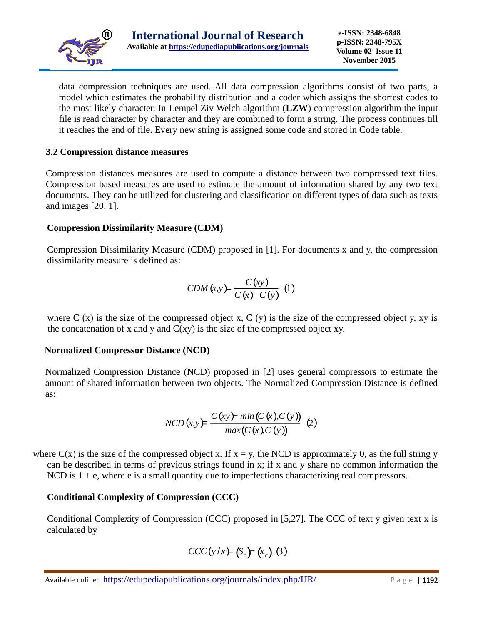

data compression techniques are used. All data compression algorithms consist of two parts, a model which estimates the probability distribution and a coder which assigns the shortest codes to the most likely character. In Lempel Ziv Welch algorithm (**LZW**) compression algorithm the input file is read character by character and they are combined to form a string. The process continues till it reaches the end of file. Every new string is assigned some code and stored in Code table.

# **3.2 Compression distance measures**

Compression distances measures are used to compute a distance between two compressed text files. Compression based measures are used to estimate the amount of information shared by any two text documents. They can be utilized for clustering and classification on different types of data such as texts and images [20, 1].

# **Compression Dissimilarity Measure (CDM)**

Compression Dissimilarity Measure (CDM) proposed in [1]. For documents x and y, the compression dissimilarity measure is defined as:

$$
CDM(x,y) = \frac{C(xy)}{C(x)+C(y)} \tag{1}
$$

where C  $(x)$  is the size of the compressed object x, C  $(y)$  is the size of the compressed object y, xy is the concatenation of x and y and  $C(xy)$  is the size of the compressed object xy.

# **Normalized Compressor Distance (NCD)**

Normalized Compression Distance (NCD) proposed in [2] uses general compressors to estimate the amount of shared information between two objects. The Normalized Compression Distance is defined as:

$$
NCD(x,y) = \frac{C(xy) - min(C(x),C(y))}{max(C(x),C(y))}
$$
 (2)

where  $C(x)$  is the size of the compressed object x. If  $x = y$ , the NCD is approximately 0, as the full string y can be described in terms of previous strings found in x; if x and y share no common information the NCD is  $1 + e$ , where e is a small quantity due to imperfections characterizing real compressors.

# **Conditional Complexity of Compression (CCC)**

Conditional Complexity of Compression (CCC) proposed in [5,27]. The CCC of text y given text x is calculated by

$$
CCC(y/x) = (S_c) - (x_c) (3)
$$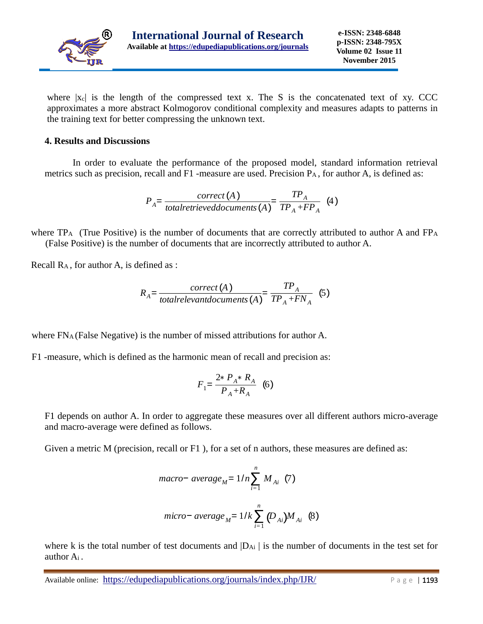

where  $|x_c|$  is the length of the compressed text x. The S is the concatenated text of xy. CCC approximates a more abstract Kolmogorov conditional complexity and measures adapts to patterns in the training text for better compressing the unknown text.

#### **4. Results and Discussions**

In order to evaluate the performance of the proposed model, standard information retrieval metrics such as precision, recall and F1 -measure are used. Precision P<sub>A</sub>, for author A, is defined as:

$$
P_{A} = \frac{correct\left(A\right)}{totalretrieved documents\left(A\right)} = \frac{TP_{A}}{TP_{A} + FP_{A}} \tag{4}
$$

where TPA (True Positive) is the number of documents that are correctly attributed to author A and FP<sup>A</sup> (False Positive) is the number of documents that are incorrectly attributed to author A.

Recall RA , for author A, is defined as :

$$
R_{A} = \frac{correct\left(A\right)}{total relevant documents\left(A\right)} = \frac{TP_{A}}{TP_{A} + FN_{A}}\tag{5}
$$

where  $FNA$  (False Negative) is the number of missed attributions for author A.

F1 -measure, which is defined as the harmonic mean of recall and precision as:

$$
F_1 = \frac{2 \cdot P_A \cdot R_A}{P_A + R_A} \quad (6)
$$

F1 depends on author A. In order to aggregate these measures over all different authors micro-average and macro-average were defined as follows.

Given a metric M (precision, recall or  $F1$ ), for a set of n authors, these measures are defined as:

$$
macro- average_M = 1/n \sum_{i=1}^{n} M_{Ai} (7)
$$
  
micro- average<sub>M</sub> = 1/k  $\sum_{i=1}^{n} (D_{Ai}) M_{Ai} (8)$ 

where k is the total number of test documents and  $|D_{Ai}|$  is the number of documents in the test set for author Ai .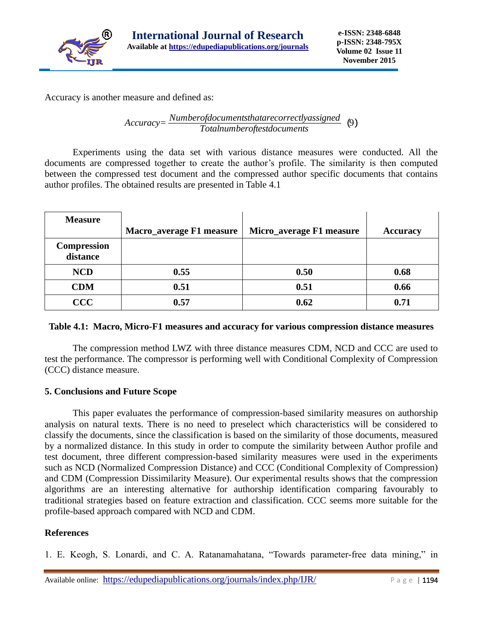

Accuracy is another measure and defined as:

*Accuracy= Numberofdocumentsthatarecorrectlyassigned Totalnumberoftestdocuments* (9)

Experiments using the data set with various distance measures were conducted. All the documents are compressed together to create the author's profile. The similarity is then computed between the compressed test document and the compressed author specific documents that contains author profiles. The obtained results are presented in Table 4.1

| <b>Measure</b>          | <b>Macro_average F1 measure</b> | Micro_average F1 measure | <b>Accuracy</b> |
|-------------------------|---------------------------------|--------------------------|-----------------|
| Compression<br>distance |                                 |                          |                 |
| <b>NCD</b>              | 0.55                            | 0.50                     | 0.68            |
| <b>CDM</b>              | 0.51                            | 0.51                     | 0.66            |
| $\bf{CCC}$              | 0.57                            | 0.62                     | 0.71            |

# **Table 4.1: Macro, Micro-F1 measures and accuracy for various compression distance measures**

The compression method LWZ with three distance measures CDM, NCD and CCC are used to test the performance. The compressor is performing well with Conditional Complexity of Compression (CCC) distance measure.

# **5. Conclusions and Future Scope**

This paper evaluates the performance of compression-based similarity measures on authorship analysis on natural texts. There is no need to preselect which characteristics will be considered to classify the documents, since the classification is based on the similarity of those documents, measured by a normalized distance. In this study in order to compute the similarity between Author profile and test document, three different compression-based similarity measures were used in the experiments such as NCD (Normalized Compression Distance) and CCC (Conditional Complexity of Compression) and CDM (Compression Dissimilarity Measure). Our experimental results shows that the compression algorithms are an interesting alternative for authorship identification comparing favourably to traditional strategies based on feature extraction and classification. CCC seems more suitable for the profile-based approach compared with NCD and CDM.

# **References**

1. E. Keogh, S. Lonardi, and C. A. Ratanamahatana, "Towards parameter-free data mining," in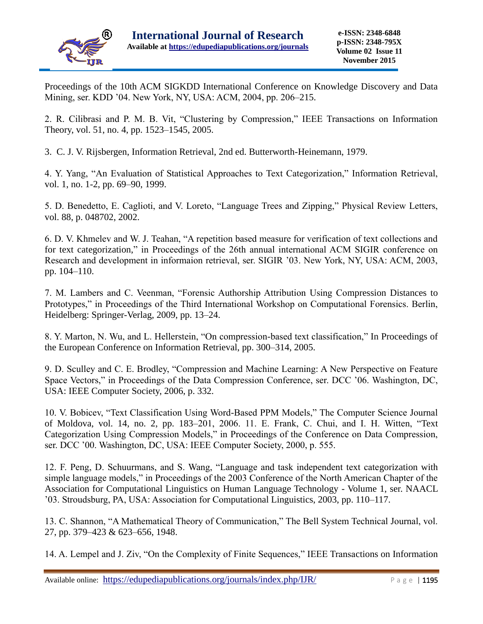

Proceedings of the 10th ACM SIGKDD International Conference on Knowledge Discovery and Data Mining, ser. KDD '04. New York, NY, USA: ACM, 2004, pp. 206–215.

2. R. Cilibrasi and P. M. B. Vit, "Clustering by Compression," IEEE Transactions on Information Theory, vol. 51, no. 4, pp. 1523–1545, 2005.

3. C. J. V. Rijsbergen, Information Retrieval, 2nd ed. Butterworth-Heinemann, 1979.

4. Y. Yang, "An Evaluation of Statistical Approaches to Text Categorization," Information Retrieval, vol. 1, no. 1-2, pp. 69–90, 1999.

5. D. Benedetto, E. Caglioti, and V. Loreto, "Language Trees and Zipping," Physical Review Letters, vol. 88, p. 048702, 2002.

6. D. V. Khmelev and W. J. Teahan, "A repetition based measure for verification of text collections and for text categorization," in Proceedings of the 26th annual international ACM SIGIR conference on Research and development in informaion retrieval, ser. SIGIR '03. New York, NY, USA: ACM, 2003, pp. 104–110.

7. M. Lambers and C. Veenman, "Forensic Authorship Attribution Using Compression Distances to Prototypes," in Proceedings of the Third International Workshop on Computational Forensics. Berlin, Heidelberg: Springer-Verlag, 2009, pp. 13–24.

8. Y. Marton, N. Wu, and L. Hellerstein, "On compression-based text classification," In Proceedings of the European Conference on Information Retrieval, pp. 300–314, 2005.

9. D. Sculley and C. E. Brodley, "Compression and Machine Learning: A New Perspective on Feature Space Vectors," in Proceedings of the Data Compression Conference, ser. DCC '06. Washington, DC, USA: IEEE Computer Society, 2006, p. 332.

10. V. Bobicev, "Text Classification Using Word-Based PPM Models," The Computer Science Journal of Moldova, vol. 14, no. 2, pp. 183–201, 2006. 11. E. Frank, C. Chui, and I. H. Witten, "Text Categorization Using Compression Models," in Proceedings of the Conference on Data Compression, ser. DCC '00. Washington, DC, USA: IEEE Computer Society, 2000, p. 555.

12. F. Peng, D. Schuurmans, and S. Wang, "Language and task independent text categorization with simple language models," in Proceedings of the 2003 Conference of the North American Chapter of the Association for Computational Linguistics on Human Language Technology - Volume 1, ser. NAACL '03. Stroudsburg, PA, USA: Association for Computational Linguistics, 2003, pp. 110–117.

13. C. Shannon, "A Mathematical Theory of Communication," The Bell System Technical Journal, vol. 27, pp. 379–423 & 623–656, 1948.

14. A. Lempel and J. Ziv, "On the Complexity of Finite Sequences," IEEE Transactions on Information